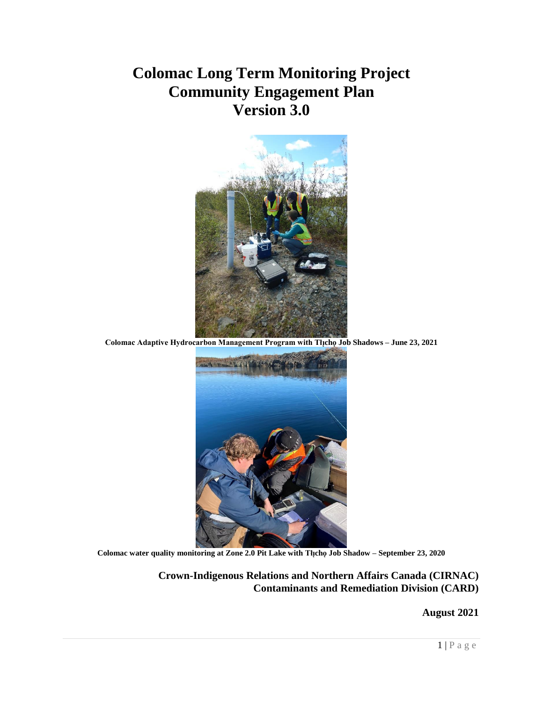## **Colomac Long Term Monitoring Project Community Engagement Plan Version 3.0**



**Colomac Adaptive Hydrocarbon Management Program with Tłı̨chǫ Job Shadows – June 23, 2021**



**Colomac water quality monitoring at Zone 2.0 Pit Lake with Tłı̨chǫ Job Shadow – September 23, 2020**

**Crown-Indigenous Relations and Northern Affairs Canada (CIRNAC) Contaminants and Remediation Division (CARD)**

**August 2021**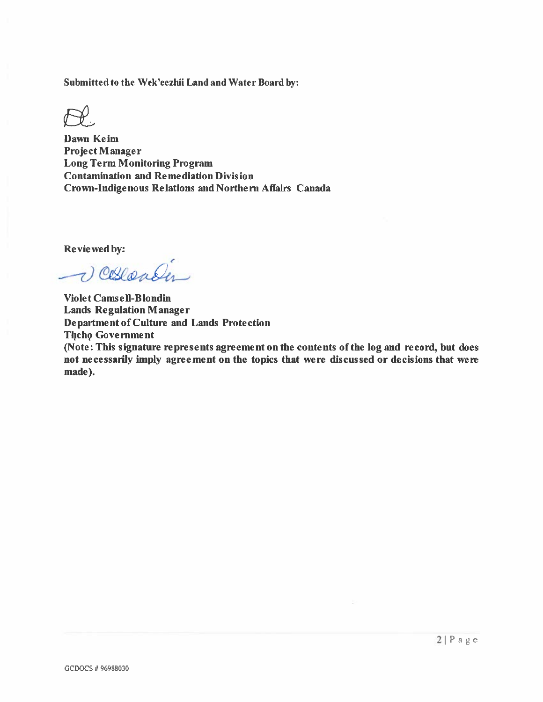Submitted to the Wek'eezhii Land and Water Board by:

**Dawn Keim Project Manager Long Term Monitoring Program Contamination and Remediation Division** Crown-Indigenous Relations and Northern Affairs Canada

Reviewed by:

Verender

**Violet Camsell-Blondin Lands Regulation Manager Department of Culture and Lands Protection Theho Government** (Note: This signature represents agreement on the contents of the log and record, but does not necessarily imply agreement on the topics that were discussed or decisions that were made).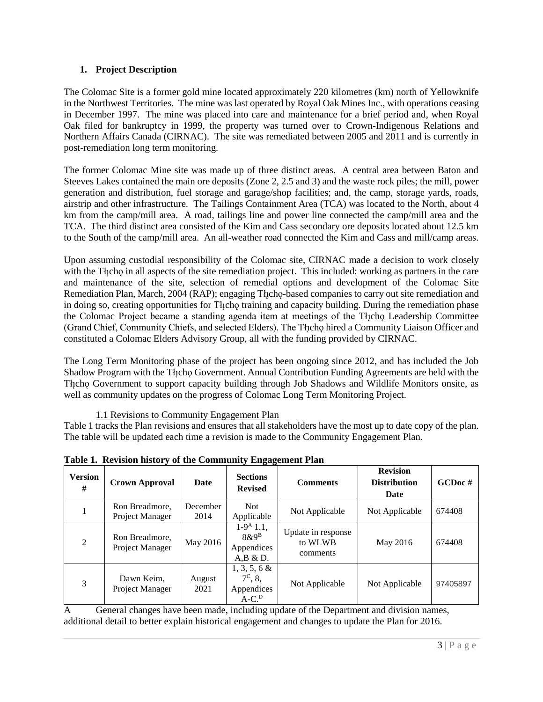#### **1. Project Description**

The Colomac Site is a former gold mine located approximately 220 kilometres (km) north of Yellowknife in the Northwest Territories. The mine was last operated by Royal Oak Mines Inc., with operations ceasing in December 1997. The mine was placed into care and maintenance for a brief period and, when Royal Oak filed for bankruptcy in 1999, the property was turned over to Crown-Indigenous Relations and Northern Affairs Canada (CIRNAC). The site was remediated between 2005 and 2011 and is currently in post-remediation long term monitoring.

The former Colomac Mine site was made up of three distinct areas. A central area between Baton and Steeves Lakes contained the main ore deposits (Zone 2, 2.5 and 3) and the waste rock piles; the mill, power generation and distribution, fuel storage and garage/shop facilities; and, the camp, storage yards, roads, airstrip and other infrastructure. The Tailings Containment Area (TCA) was located to the North, about 4 km from the camp/mill area. A road, tailings line and power line connected the camp/mill area and the TCA. The third distinct area consisted of the Kim and Cass secondary ore deposits located about 12.5 km to the South of the camp/mill area. An all-weather road connected the Kim and Cass and mill/camp areas.

Upon assuming custodial responsibility of the Colomac site, CIRNAC made a decision to work closely with the Theorem in all aspects of the site remediation project. This included: working as partners in the care and maintenance of the site, selection of remedial options and development of the Colomac Site Remediation Plan, March, 2004 (RAP); engaging The ho-based companies to carry out site remediation and in doing so, creating opportunities for The training and capacity building. During the remediation phase the Colomac Project became a standing agenda item at meetings of the Tłįcho Leadership Committee (Grand Chief, Community Chiefs, and selected Elders). The Tłıcho hired a Community Liaison Officer and constituted a Colomac Elders Advisory Group, all with the funding provided by CIRNAC.

The Long Term Monitoring phase of the project has been ongoing since 2012, and has included the Job Shadow Program with the Tłįcho Government. Annual Contribution Funding Agreements are held with the The Government to support capacity building through Job Shadows and Wildlife Monitors onsite, as well as community updates on the progress of Colomac Long Term Monitoring Project.

1.1 Revisions to Community Engagement Plan

Table 1 tracks the Plan revisions and ensures that all stakeholders have the most up to date copy of the plan. The table will be updated each time a revision is made to the Community Engagement Plan.

| <b>Version</b><br># | <b>Crown Approval</b>             | Date             | <b>Sections</b><br><b>Comments</b><br><b>Revised</b>         |                                           | <b>Revision</b><br><b>Distribution</b><br>Date | GCDoc#   |
|---------------------|-----------------------------------|------------------|--------------------------------------------------------------|-------------------------------------------|------------------------------------------------|----------|
|                     | Ron Breadmore.<br>Project Manager | December<br>2014 | Not.<br>Applicable                                           | Not Applicable                            | Not Applicable                                 | 674408   |
| 2                   | Ron Breadmore,<br>Project Manager | May 2016         | $1-9A1.1$ ,<br>$8\&9^B$<br>Appendices<br>A,B & D.            | Update in response<br>to WLWB<br>comments | May 2016                                       | 674408   |
| 3                   | Dawn Keim,<br>Project Manager     | August<br>2021   | $1, 3, 5, 6 \&$<br>$7^{\circ}$ , 8.<br>Appendices<br>$A-C.D$ | Not Applicable                            | Not Applicable                                 | 97405897 |

**Table 1. Revision history of the Community Engagement Plan**

A General changes have been made, including update of the Department and division names, additional detail to better explain historical engagement and changes to update the Plan for 2016.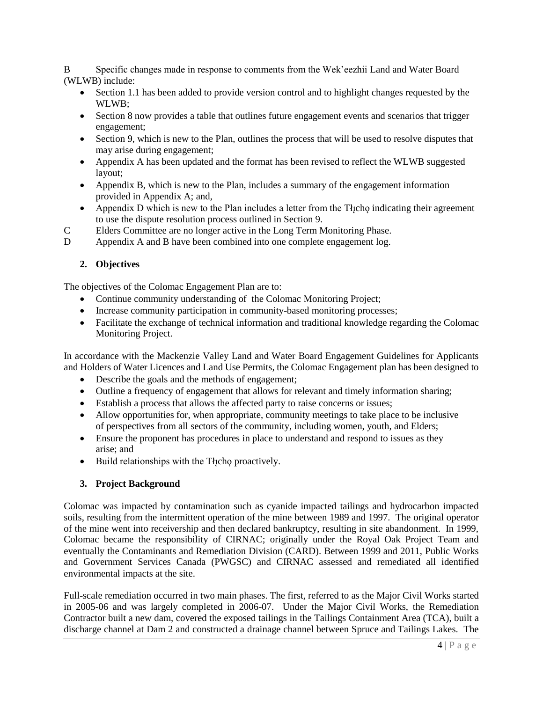B Specific changes made in response to comments from the Wek'eezhii Land and Water Board (WLWB) include:

- Section 1.1 has been added to provide version control and to highlight changes requested by the WLWB;
- Section 8 now provides a table that outlines future engagement events and scenarios that trigger engagement;
- Section 9, which is new to the Plan, outlines the process that will be used to resolve disputes that may arise during engagement;
- Appendix A has been updated and the format has been revised to reflect the WLWB suggested layout;
- Appendix B, which is new to the Plan, includes a summary of the engagement information provided in Appendix A; and,
- Appendix D which is new to the Plan includes a letter from the Theorem indicating their agreement to use the dispute resolution process outlined in Section 9.
- C Elders Committee are no longer active in the Long Term Monitoring Phase.
- D Appendix A and B have been combined into one complete engagement log.

#### **2. Objectives**

The objectives of the Colomac Engagement Plan are to:

- Continue community understanding of the Colomac Monitoring Project;
- Increase community participation in community-based monitoring processes;
- Facilitate the exchange of technical information and traditional knowledge regarding the Colomac Monitoring Project.

In accordance with the Mackenzie Valley Land and Water Board Engagement Guidelines for Applicants and Holders of Water Licences and Land Use Permits, the Colomac Engagement plan has been designed to

- Describe the goals and the methods of engagement;
- Outline a frequency of engagement that allows for relevant and timely information sharing;
- Establish a process that allows the affected party to raise concerns or issues;
- Allow opportunities for, when appropriate, community meetings to take place to be inclusive of perspectives from all sectors of the community, including women, youth, and Elders;
- Ensure the proponent has procedures in place to understand and respond to issues as they arise; and
- $\bullet$  Build relationships with the Theorem proactively.

#### **3. Project Background**

Colomac was impacted by contamination such as cyanide impacted tailings and hydrocarbon impacted soils, resulting from the intermittent operation of the mine between 1989 and 1997. The original operator of the mine went into receivership and then declared bankruptcy, resulting in site abandonment. In 1999, Colomac became the responsibility of CIRNAC; originally under the Royal Oak Project Team and eventually the Contaminants and Remediation Division (CARD). Between 1999 and 2011, Public Works and Government Services Canada (PWGSC) and CIRNAC assessed and remediated all identified environmental impacts at the site.

Full-scale remediation occurred in two main phases. The first, referred to as the Major Civil Works started in 2005-06 and was largely completed in 2006-07. Under the Major Civil Works, the Remediation Contractor built a new dam, covered the exposed tailings in the Tailings Containment Area (TCA), built a discharge channel at Dam 2 and constructed a drainage channel between Spruce and Tailings Lakes. The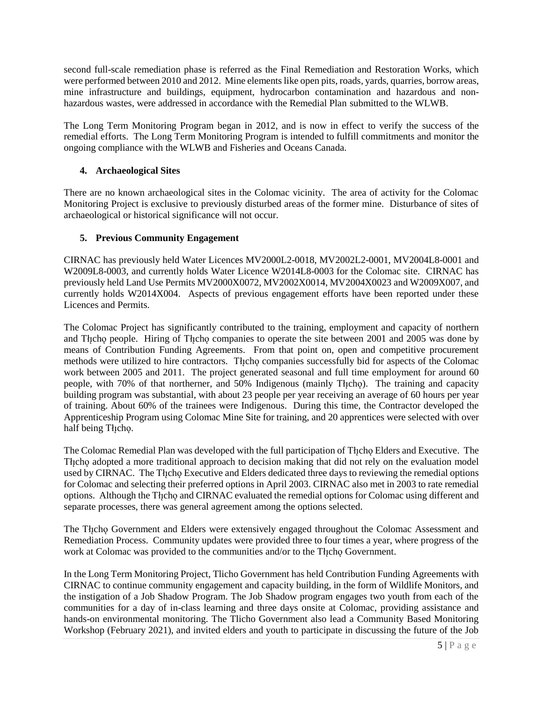second full-scale remediation phase is referred as the Final Remediation and Restoration Works, which were performed between 2010 and 2012. Mine elements like open pits, roads, yards, quarries, borrow areas, mine infrastructure and buildings, equipment, hydrocarbon contamination and hazardous and nonhazardous wastes, were addressed in accordance with the Remedial Plan submitted to the WLWB.

The Long Term Monitoring Program began in 2012, and is now in effect to verify the success of the remedial efforts. The Long Term Monitoring Program is intended to fulfill commitments and monitor the ongoing compliance with the WLWB and Fisheries and Oceans Canada.

#### **4. Archaeological Sites**

There are no known archaeological sites in the Colomac vicinity. The area of activity for the Colomac Monitoring Project is exclusive to previously disturbed areas of the former mine. Disturbance of sites of archaeological or historical significance will not occur.

#### **5. Previous Community Engagement**

CIRNAC has previously held Water Licences MV2000L2-0018, MV2002L2-0001, MV2004L8-0001 and W2009L8-0003, and currently holds Water Licence W2014L8-0003 for the Colomac site. CIRNAC has previously held Land Use Permits MV2000X0072, MV2002X0014, MV2004X0023 and W2009X007, and currently holds W2014X004. Aspects of previous engagement efforts have been reported under these Licences and Permits.

The Colomac Project has significantly contributed to the training, employment and capacity of northern and The people. Hiring of The ho companies to operate the site between 2001 and 2005 was done by means of Contribution Funding Agreements. From that point on, open and competitive procurement methods were utilized to hire contractors. Thcho companies successfully bid for aspects of the Colomac work between 2005 and 2011. The project generated seasonal and full time employment for around 60 people, with 70% of that northerner, and 50% Indigenous (mainly Theophetherm and capacity people, with 70% of that northerner, and 50% Indigenous (mainly Theophetherm and capacity building program was substantial, with about 23 people per year receiving an average of 60 hours per year of training. About 60% of the trainees were Indigenous. During this time, the Contractor developed the Apprenticeship Program using Colomac Mine Site for training, and 20 apprentices were selected with over half being Theno.

The Colomac Remedial Plan was developed with the full participation of Theo Elders and Executive. The The cho adopted a more traditional approach to decision making that did not rely on the evaluation model used by CIRNAC. The Thcho Executive and Elders dedicated three days to reviewing the remedial options for Colomac and selecting their preferred options in April 2003. CIRNAC also met in 2003 to rate remedial options. Although the Thcho and CIRNAC evaluated the remedial options for Colomac using different and separate processes, there was general agreement among the options selected.

The Theo Government and Elders were extensively engaged throughout the Colomac Assessment and Remediation Process. Community updates were provided three to four times a year, where progress of the work at Colomac was provided to the communities and/or to the Tłįcho Government.

In the Long Term Monitoring Project, Tlicho Government has held Contribution Funding Agreements with CIRNAC to continue community engagement and capacity building, in the form of Wildlife Monitors, and the instigation of a Job Shadow Program. The Job Shadow program engages two youth from each of the communities for a day of in-class learning and three days onsite at Colomac, providing assistance and hands-on environmental monitoring. The Tlicho Government also lead a Community Based Monitoring Workshop (February 2021), and invited elders and youth to participate in discussing the future of the Job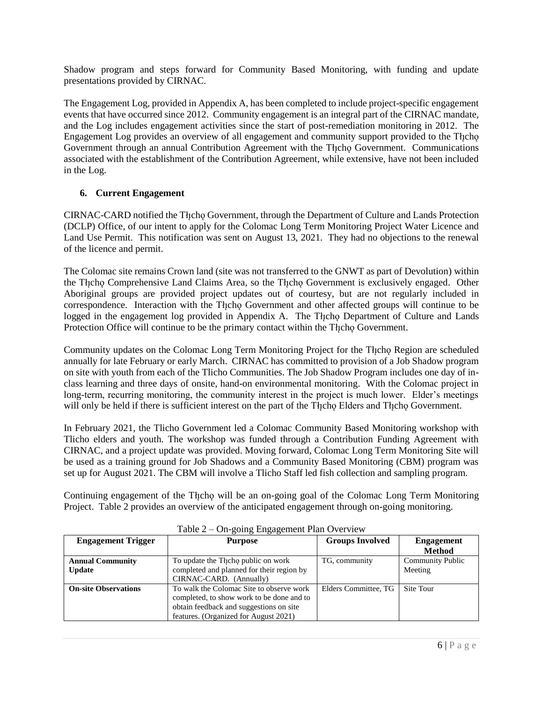Shadow program and steps forward for Community Based Monitoring, with funding and update presentations provided by CIRNAC.

The Engagement Log, provided in Appendix A, has been completed to include project-specific engagement events that have occurred since 2012. Community engagement is an integral part of the CIRNAC mandate, and the Log includes engagement activities since the start of post-remediation monitoring in 2012. The Engagement Log provides an overview of all engagement and community support provided to the Theology Government through an annual Contribution Agreement with the Theoo Government. Communications associated with the establishment of the Contribution Agreement, while extensive, have not been included in the Log.

#### **6. Current Engagement**

CIRNAC-CARD notified the Tłįcho Government, through the Department of Culture and Lands Protection (DCLP) Office, of our intent to apply for the Colomac Long Term Monitoring Project Water Licence and Land Use Permit. This notification was sent on August 13, 2021. They had no objections to the renewal of the licence and permit.

The Colomac site remains Crown land (site was not transferred to the GNWT as part of Devolution) within the Tłįcho Comprehensive Land Claims Area, so the Tłįcho Government is exclusively engaged. Other Aboriginal groups are provided project updates out of courtesy, but are not regularly included in correspondence. Interaction with the Thcho Government and other affected groups will continue to be logged in the engagement log provided in Appendix A. The Thcho Department of Culture and Lands Protection Office will continue to be the primary contact within the Tłicho Government.

Community updates on the Colomac Long Term Monitoring Project for the Tłįcho Region are scheduled annually for late February or early March. CIRNAC has committed to provision of a Job Shadow program on site with youth from each of the Tlicho Communities. The Job Shadow Program includes one day of inclass learning and three days of onsite, hand-on environmental monitoring. With the Colomac project in long-term, recurring monitoring, the community interest in the project is much lower. Elder's meetings will only be held if there is sufficient interest on the part of the Theo Elders and Theo Government.

In February 2021, the Tlicho Government led a Colomac Community Based Monitoring workshop with Tlicho elders and youth. The workshop was funded through a Contribution Funding Agreement with CIRNAC, and a project update was provided. Moving forward, Colomac Long Term Monitoring Site will be used as a training ground for Job Shadows and a Community Based Monitoring (CBM) program was set up for August 2021. The CBM will involve a Tlicho Staff led fish collection and sampling program.

Continuing engagement of the Theo will be an on-going goal of the Colomac Long Term Monitoring Project. Table 2 provides an overview of the anticipated engagement through on-going monitoring.

| <b>Engagement Trigger</b>   | <b>Purpose</b>                            | <b>Groups Involved</b> | <b>Engagement</b>       |
|-----------------------------|-------------------------------------------|------------------------|-------------------------|
|                             |                                           |                        | <b>Method</b>           |
| <b>Annual Community</b>     | To update the Thicho public on work       | TG, community          | <b>Community Public</b> |
| <b>Update</b>               | completed and planned for their region by |                        | Meeting                 |
|                             | CIRNAC-CARD. (Annually)                   |                        |                         |
| <b>On-site Observations</b> | To walk the Colomac Site to observe work  | Elders Committee, TG   | Site Tour               |
|                             | completed, to show work to be done and to |                        |                         |
|                             | obtain feedback and suggestions on site   |                        |                         |
|                             | features. (Organized for August 2021)     |                        |                         |

Table 2 – On-going Engagement Plan Overview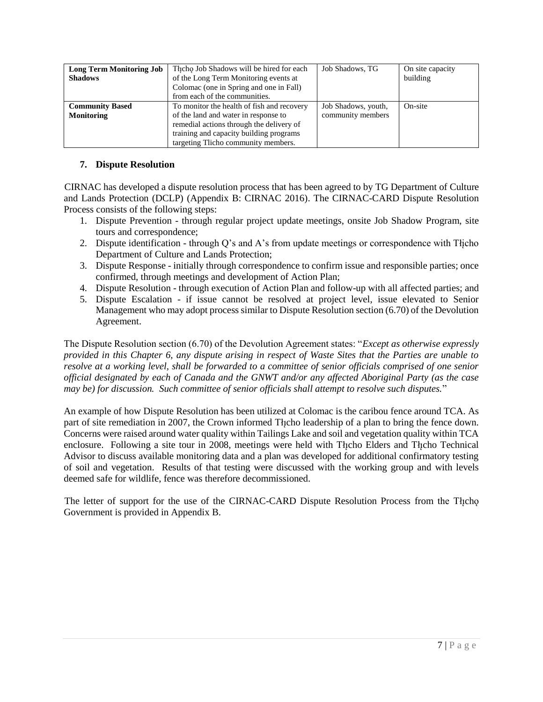| <b>Long Term Monitoring Job</b><br><b>Shadows</b> | The Job Shadows will be hired for each<br>of the Long Term Monitoring events at<br>Colomac (one in Spring and one in Fall)<br>from each of the communities.                                                      | Job Shadows, TG                          | On site capacity<br>building |
|---------------------------------------------------|------------------------------------------------------------------------------------------------------------------------------------------------------------------------------------------------------------------|------------------------------------------|------------------------------|
| <b>Community Based</b><br>Monitoring              | To monitor the health of fish and recovery<br>of the land and water in response to<br>remedial actions through the delivery of<br>training and capacity building programs<br>targeting Tlicho community members. | Job Shadows, youth,<br>community members | On-site                      |

#### **7. Dispute Resolution**

CIRNAC has developed a dispute resolution process that has been agreed to by TG Department of Culture and Lands Protection (DCLP) (Appendix B: CIRNAC 2016). The CIRNAC-CARD Dispute Resolution Process consists of the following steps:

- 1. Dispute Prevention through regular project update meetings, onsite Job Shadow Program, site tours and correspondence;
- 2. Dispute identification through Q's and A's from update meetings or correspondence with Tłįcho Department of Culture and Lands Protection;
- 3. Dispute Response initially through correspondence to confirm issue and responsible parties; once confirmed, through meetings and development of Action Plan;
- 4. Dispute Resolution through execution of Action Plan and follow-up with all affected parties; and
- 5. Dispute Escalation if issue cannot be resolved at project level, issue elevated to Senior Management who may adopt process similar to Dispute Resolution section (6.70) of the Devolution Agreement.

The Dispute Resolution section (6.70) of the Devolution Agreement states: "*Except as otherwise expressly provided in this Chapter 6, any dispute arising in respect of Waste Sites that the Parties are unable to resolve at a working level, shall be forwarded to a committee of senior officials comprised of one senior official designated by each of Canada and the GNWT and/or any affected Aboriginal Party (as the case may be) for discussion. Such committee of senior officials shall attempt to resolve such disputes.*"

An example of how Dispute Resolution has been utilized at Colomac is the caribou fence around TCA. As part of site remediation in 2007, the Crown informed Tłµcho leadership of a plan to bring the fence down. Concerns were raised around water quality within Tailings Lake and soil and vegetation quality within TCA enclosure. Following a site tour in 2008, meetings were held with Theo Elders and Theo Technical Advisor to discuss available monitoring data and a plan was developed for additional confirmatory testing of soil and vegetation. Results of that testing were discussed with the working group and with levels deemed safe for wildlife, fence was therefore decommissioned.

The letter of support for the use of the CIRNAC-CARD Dispute Resolution Process from the Thicho Government is provided in Appendix B.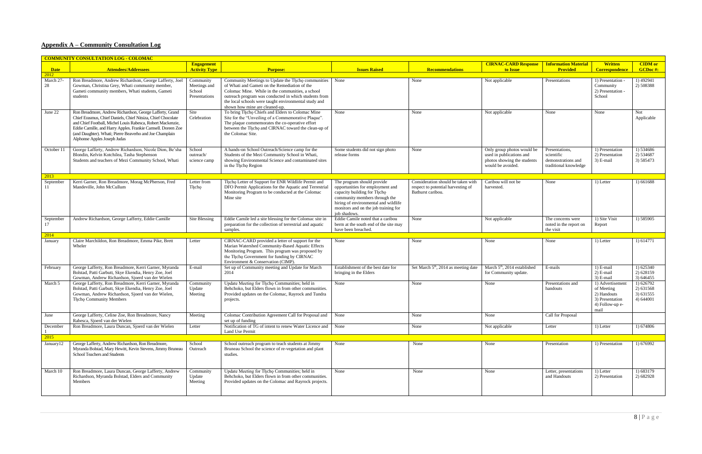### **Appendix A – Community Consultation Log**

|                     | <b>COMMUNITY CONSULTATION LOG - COLOMAC</b>                                                                                                                                                                                                                                                                                                         |                                                      |                                                                                                                                                                                                                                                                                                            |                                                                                                                                                                                                                               |                                                                                               |                                                                                                            |                                                                             |                                                                                             |                                                  |
|---------------------|-----------------------------------------------------------------------------------------------------------------------------------------------------------------------------------------------------------------------------------------------------------------------------------------------------------------------------------------------------|------------------------------------------------------|------------------------------------------------------------------------------------------------------------------------------------------------------------------------------------------------------------------------------------------------------------------------------------------------------------|-------------------------------------------------------------------------------------------------------------------------------------------------------------------------------------------------------------------------------|-----------------------------------------------------------------------------------------------|------------------------------------------------------------------------------------------------------------|-----------------------------------------------------------------------------|---------------------------------------------------------------------------------------------|--------------------------------------------------|
| <b>Date</b><br>2012 | <b>Attendees/Addressees</b>                                                                                                                                                                                                                                                                                                                         | <b>Engagement</b><br><b>Activity Type</b>            | <b>Purpose:</b>                                                                                                                                                                                                                                                                                            | <b>Issues Raised</b>                                                                                                                                                                                                          | <b>Recommendations</b>                                                                        | <b>CIRNAC-CARD Response</b>   Information Material<br>to Issue                                             | <b>Provided</b>                                                             | <b>Written</b><br><b>Correspondence</b>                                                     | <b>CIDM</b> or<br><b>GCDoc#:</b>                 |
| March 27-<br>28     | Ron Breadmore, Andrew Richardson, George Lafferty, Joel<br>Gowman, Christina Grey, Whati community member,<br>Gameti community members, Whati students, Gameti<br>students                                                                                                                                                                          | Community<br>Meetings and<br>School<br>Presentations | Community Meetings to Update the Theo communities<br>of Whati and Gameti on the Remediation of the<br>Colomac Mine. While in the communities, a school<br>outreach program was conducted in which students from<br>the local schools were taught environmental study and<br>shown how mine are cleaned-up. | None                                                                                                                                                                                                                          | None                                                                                          | Not applicable                                                                                             | Presentations                                                               | 1) Presentation -<br>Community<br>2) Presentation -<br>School                               | 1) 492941<br>2) 508388                           |
| June 22             | Ron Breadmore, Andrew Richardson, George Lafferty, Grand<br>Chief Erasmus, Chief Daniels, Chief Nitsiza, Chief Chocolate<br>and Chief Football, Michel Louis Rabesca, Robert Mackenzie,<br>Eddie Camille, and Harry Apples. Frankie Camsell. Doreen Zoe<br>(and Daughter). Whati; Pierre Beaverho and Joe Champlain<br>Alphonse Apples Joseph Judas | Site<br>Celebration                                  | To bring Thcho Chiefs and Elders to Colomac Mine<br>Site for the "Unveiling of a Commemorative Plaque".<br>The plaque commemorates the co-operative effort<br>between the Thcho and CIRNAC toward the clean-up of<br>the Colomac Site.                                                                     | None                                                                                                                                                                                                                          | None                                                                                          | Not applicable                                                                                             | None                                                                        | None                                                                                        | <b>Not</b><br>Applicable                         |
| October 11          | George Lafferty, Andrew Richardson, Nicole Dion, Be'sha<br>Blondin, Kelvin Kotchilea, Tasha Stephenson<br>Students and teachers of Mezi Community School, Whati                                                                                                                                                                                     | School<br>outreach/<br>science camp                  | A hands-on School Outreach/Science camp for the<br>Students of the Mezi Community School in Whati,<br>showing Environmental Science and contaminated sites<br>in the Theop Region                                                                                                                          | Some students did not sign photo<br>release forms                                                                                                                                                                             | None                                                                                          | Only group photos would be<br>used in publications and<br>photos showing the students<br>would be avoided. | Presentations.<br>scientific<br>demonstrations and<br>traditional knowledge | 1) Presentation<br>2) Presentation<br>3) E-mail                                             | 1) 534686<br>2) 534687<br>3) 585473              |
| 2013                |                                                                                                                                                                                                                                                                                                                                                     |                                                      |                                                                                                                                                                                                                                                                                                            |                                                                                                                                                                                                                               |                                                                                               |                                                                                                            |                                                                             |                                                                                             |                                                  |
| September<br>-11    | Kerri Garner, Ron Breadmore, Morag McPherson, Fred<br>Mandeville, John McCullum                                                                                                                                                                                                                                                                     | Letter from<br>Thcho                                 | Thcho Letter of Support for ENR Wildlife Permit and<br>DFO Permit Applications for the Aquatic and Terrestrial<br>Monitoring Program to be conducted at the Colomac<br>Mine site                                                                                                                           | The program should provide<br>opportunities for employment and<br>capacity building for Theo<br>community members through the<br>hiring of environmental and wildlife<br>monitors and on the job training for<br>job shadows. | Consideration should be taken with<br>respect to potential harvesting of<br>Bathurst caribou. | Caribou will not be<br>harvested.                                                                          | None                                                                        | 1) Letter                                                                                   | 1) 661688                                        |
| September           | Andrew Richardson, George Lafferty, Eddie Camille                                                                                                                                                                                                                                                                                                   | Site Blessing                                        | Eddie Camile led a site blessing for the Colomac site in<br>preparation for the collection of terrestrial and aquatic<br>samples.                                                                                                                                                                          | Eddie Camile noted that a caribou<br>berm at the south end of the site may<br>have been breached.                                                                                                                             | None                                                                                          | Not applicable                                                                                             | The concerns were<br>noted in the report on<br>the visit                    | 1) Site Visit<br>Report                                                                     | 1) 585905                                        |
| 2014                |                                                                                                                                                                                                                                                                                                                                                     |                                                      |                                                                                                                                                                                                                                                                                                            |                                                                                                                                                                                                                               |                                                                                               |                                                                                                            |                                                                             |                                                                                             |                                                  |
| January             | Claire Marchildon, Ron Breadmore, Emma Pike, Brett<br>Wheler                                                                                                                                                                                                                                                                                        | Letter                                               | CIRNAC-CARD provided a letter of support for the<br>Marian Watershed Community-Based Aquatic Effects<br>Monitoring Program. This program was proposed by<br>the Thcho Government for funding by CIRNAC<br>Environment & Conservation (CIMP)                                                                | None                                                                                                                                                                                                                          | None                                                                                          | None                                                                                                       | None                                                                        | 1) Letter                                                                                   | 1) 614771                                        |
| February            | George Lafferty, Ron Breadmore, Kerri Garner, Myranda<br>Bolstad, Patti Garbutt, Skye Ekendia, Henry Zoe, Joel<br>Gowman, Andrew Richardson, Sjoerd van der Wielen                                                                                                                                                                                  | E-mail                                               | Set up of Community meeting and Update for March<br>2014                                                                                                                                                                                                                                                   | Establishment of the best date for<br>bringing in the Elders                                                                                                                                                                  | Set March 5 <sup>th</sup> , 2014 as meeting date                                              | March 5 <sup>th</sup> , 2014 established<br>for Community update.                                          | E-mails                                                                     | 1) E-mail<br>2) E-mail<br>3) E-mail                                                         | 1) 625340<br>2) 628159<br>3) 646455              |
| March 5             | George Lafferty, Ron Breadmore, Kerri Garner, Myranda<br>Bolstad, Patti Garbutt, Skye Ekendia, Henry Zoe, Joel<br>Gowman, Andrew Richardson, Sjoerd van der Wielen,<br><b>Thcho Community Members</b>                                                                                                                                               | Community<br>Update<br>Meeting                       | Update Meeting for Thcho Communities; held in<br>Behchoko, but Elders flown in from other communities.<br>Provided updates on the Colomac, Rayrock and Tundra<br>projects.                                                                                                                                 | None                                                                                                                                                                                                                          | None                                                                                          | None                                                                                                       | Presentations and<br>handouts                                               | 1) Advertisement<br>of Meeting<br>2) Handouts<br>3) Presentation<br>4) Follow-up e-<br>mail | 1) 626792<br>2) 631568<br>3) 631555<br>4) 644001 |
| June                | George Lafferty, Celine Zoe, Ron Breadmore, Nancy<br>Rabesca, Sjoerd van der Wielen                                                                                                                                                                                                                                                                 | Meeting                                              | Colomac Contribution Agreement Call for Proposal and None<br>set up of funding                                                                                                                                                                                                                             |                                                                                                                                                                                                                               | None                                                                                          | None                                                                                                       | Call for Proposal                                                           |                                                                                             |                                                  |
| December            | Ron Breadmore, Laura Duncan, Sjoerd van der Wielen                                                                                                                                                                                                                                                                                                  | Letter                                               | Notification of TG of intent to renew Water Licence and None<br>Land Use Permit                                                                                                                                                                                                                            |                                                                                                                                                                                                                               | None                                                                                          | Not applicable                                                                                             | Letter                                                                      | 1) Letter                                                                                   | 1) 674806                                        |
| 2015                |                                                                                                                                                                                                                                                                                                                                                     |                                                      |                                                                                                                                                                                                                                                                                                            |                                                                                                                                                                                                                               |                                                                                               |                                                                                                            |                                                                             |                                                                                             |                                                  |
| January12           | George Lafferty, Andrew Richardson, Ron Breadmore,<br>Myranda Bolstad, Mary Hewitt, Kevin Stevens, Jimmy Bruneau<br>School Teachers and Students                                                                                                                                                                                                    | School<br>Outreach                                   | School outreach program to teach students at Jimmy<br>Bruneau School the science of re-vegetation and plant<br>studies.                                                                                                                                                                                    | None                                                                                                                                                                                                                          | None                                                                                          | None                                                                                                       | Presentation                                                                | 1) Presentation                                                                             | 1) 676992                                        |
| March 10            | Ron Breadmore, Laura Duncan, George Lafferty, Andrew<br>Richardson, Myranda Bolstad, Elders and Community<br>Members                                                                                                                                                                                                                                | Community<br>Update<br>Meeting                       | Update Meeting for Thcho Communities; held in<br>Behchoko, but Elders flown in from other communities.<br>Provided updates on the Colomac and Rayrock projects.                                                                                                                                            | None                                                                                                                                                                                                                          | None                                                                                          | None                                                                                                       | Letter, presentations<br>and Handouts                                       | 1) Letter<br>2) Presentation                                                                | 1) 683179<br>2) 682928                           |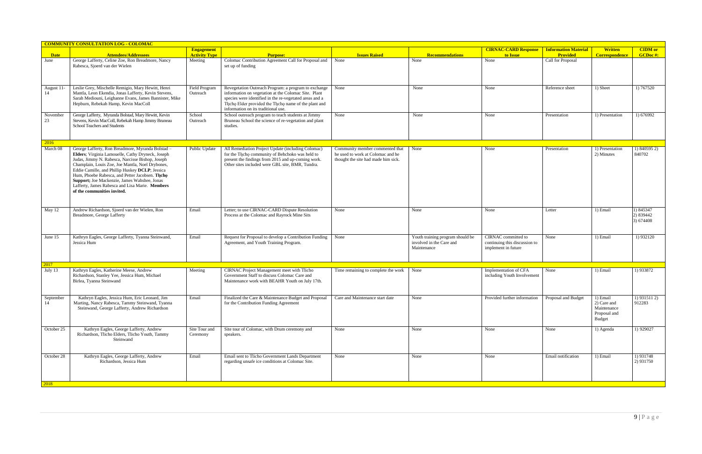|                  | <b>COMMUNITY CONSULTATION LOG - COLOMAC</b>                                                                                                                                                                                                                                                                                                                                                                                                            |                                           |                                                                                                                                                                                                                                                                       |                                                                                                             |                                                                             |                                                                             |                                                |                                                                  |                                     |
|------------------|--------------------------------------------------------------------------------------------------------------------------------------------------------------------------------------------------------------------------------------------------------------------------------------------------------------------------------------------------------------------------------------------------------------------------------------------------------|-------------------------------------------|-----------------------------------------------------------------------------------------------------------------------------------------------------------------------------------------------------------------------------------------------------------------------|-------------------------------------------------------------------------------------------------------------|-----------------------------------------------------------------------------|-----------------------------------------------------------------------------|------------------------------------------------|------------------------------------------------------------------|-------------------------------------|
| <b>Date</b>      | <b>Attendees/Addressees</b>                                                                                                                                                                                                                                                                                                                                                                                                                            | <b>Engagement</b><br><b>Activity Type</b> | <b>Purpose:</b>                                                                                                                                                                                                                                                       | <b>Issues Raised</b>                                                                                        | <b>Recommendations</b>                                                      | <b>CIRNAC-CARD Response</b><br>to Issue                                     | <b>Information Material</b><br><b>Provided</b> | <b>Written</b><br><b>Correspondence</b>                          | <b>CIDM</b> or<br>GCDoc#:           |
| June             | George Lafferty, Celine Zoe, Ron Breadmore, Nancy<br>Rabesca, Sjoerd van der Wielen                                                                                                                                                                                                                                                                                                                                                                    | Meeting                                   | Colomac Contribution Agreement Call for Proposal and<br>set up of funding                                                                                                                                                                                             | None                                                                                                        | None                                                                        | None                                                                        | Call for Proposal                              |                                                                  |                                     |
| August 11-<br>14 | Leslie Grey, Mischelle Remigio, Mary Hewitt, Henri<br>Mantla, Leon Ekendia, Jonas Lafferty, Kevin Stevens,<br>Sarah Mediouni, Leighanne Evans, James Bannister, Mike<br>Hepburn, Rebekah Hamp, Kevin MacColl                                                                                                                                                                                                                                           | Field Program<br>Outreach                 | Revegetation Outreach Program: a program to exchange<br>information on vegetation at the Colomac Site. Plant<br>species were identified in the re-vegetated areas and a<br>The Elder provided the The ho name of the plant and<br>information on its traditional use. | None                                                                                                        | None                                                                        | None                                                                        | Reference sheet                                | 1) Sheet                                                         | 1) 767520                           |
| November<br>23   | George Lafferty, Myranda Bolstad, Mary Hewitt, Kevin<br>Stevens, Kevin MacColl, Rebekah Hamp Jimmy Bruneau<br>School Teachers and Students                                                                                                                                                                                                                                                                                                             | School<br>Outreach                        | School outreach program to teach students at Jimmy<br>Bruneau School the science of re-vegetation and plant<br>studies.                                                                                                                                               | None                                                                                                        | None                                                                        | None                                                                        | Presentation                                   | 1) Presentation                                                  | 1) 676992                           |
| 2016             |                                                                                                                                                                                                                                                                                                                                                                                                                                                        |                                           |                                                                                                                                                                                                                                                                       |                                                                                                             |                                                                             |                                                                             |                                                |                                                                  |                                     |
| March 08         | George Lafferty, Ron Breadmore, Myranda Bolstad -<br>Elders; Virginia Lamouelle, Cathy Dryneck, Joseph<br>Judas, Jimmy N. Rabesca, Narcisse Bishop, Joseph<br>Champlain, Louis Zoe, Joe Mantla, Noel Drybones,<br>Eddie Camille, and Phillip Huskey DCLP; Jessica<br>Hum, Phoebe Rabesca, and Petter Jacobsen. Thcho<br>Support; Joe Mackenzie, James Wahshee, Jonas<br>Lafferty, James Rabesca and Lisa Marie. Members<br>of the communities invited. | Public Update                             | All Remediation Project Update (including Colomac)<br>for the Thcho community of Behchoko was held to<br>present the findings from 2015 and up-coming work.<br>Other sites included were GBL site, BMR, Tundra.                                                       | Community member commented that<br>he used to work at Colomac and he<br>thought the site had made him sick. | None                                                                        | None                                                                        | Presentation                                   | 1) Presentation<br>2) Minutes                                    | 1) 840595 2)<br>840702              |
| May 12           | Andrew Richardson, Sjoerd van der Wielen, Ron<br>Breadmore, George Lafferty                                                                                                                                                                                                                                                                                                                                                                            | Email                                     | Letter; to use CIRNAC-CARD Dispute Resolution<br>Process at the Colomac and Rayrock Mine Sits                                                                                                                                                                         | None                                                                                                        | None                                                                        | None                                                                        | Letter                                         | 1) Email                                                         | 1) 845347<br>2) 839442<br>3) 674408 |
| June 15          | Kathryn Eagles, George Lafferty, Tyanna Steinwand,<br>Jessica Hum                                                                                                                                                                                                                                                                                                                                                                                      | Email                                     | Request for Proposal to develop a Contribution Funding<br>Agreement, and Youth Training Program.                                                                                                                                                                      | None                                                                                                        | Youth training program should be<br>involved in the Care and<br>Maintenance | CIRNAC committed to<br>continuing this discussion to<br>implement in future | None                                           | 1) Email                                                         | 1) 932120                           |
| 2017             |                                                                                                                                                                                                                                                                                                                                                                                                                                                        |                                           |                                                                                                                                                                                                                                                                       |                                                                                                             |                                                                             |                                                                             |                                                |                                                                  |                                     |
| July 13          | Kathryn Eagles, Katherine Meese, Andrew<br>Richardson, Stanley Yee, Jessica Hum, Michael<br>Birlea, Tyanna Steinwand                                                                                                                                                                                                                                                                                                                                   | Meeting                                   | CIRNAC Project Management meet with Tlicho<br>Government Staff to discuss Colomac Care and<br>Maintenance work with BEAHR Youth on July 17th.                                                                                                                         | Time remaining to complete the work                                                                         | None                                                                        | Implementation of CFA<br>including Youth Involvement                        | None                                           | 1) Email                                                         | 1) 933872                           |
| September<br>14  | Kathryn Eagles, Jessica Hum, Eric Leonard, Jim<br>Marting, Nancy Rabesca, Tammy Steinwand, Tyanna<br>Steinwand, George Lafferty, Andrew Richardson                                                                                                                                                                                                                                                                                                     | Email                                     | Finalized the Care & Maintenance Budget and Proposal Care and Maintenance start date<br>for the Contribution Funding Agreement                                                                                                                                        |                                                                                                             | None                                                                        | Provided further information Proposal and Budget                            |                                                | 1) Email<br>2) Care and<br>Maintenance<br>Proposal and<br>Budget | $1)$ 931511 2)<br>912283            |
| October 25       | Kathryn Eagles, George Lafferty, Andrew<br>Richardson, Tlicho Elders, Tlicho Youth, Tammy<br>Steinwand                                                                                                                                                                                                                                                                                                                                                 | Site Tour and<br>Ceremony                 | Site tour of Colomac, with Drum ceremony and<br>speakers.                                                                                                                                                                                                             | None                                                                                                        | None                                                                        | None                                                                        | None                                           | 1) Agenda                                                        | 1) 929027                           |
| October 28       | Kathryn Eagles, George Lafferty, Andrew<br>Richardson, Jessica Hum                                                                                                                                                                                                                                                                                                                                                                                     | Email                                     | Email sent to Tlicho Government Lands Department<br>regarding unsafe ice conditions at Colomac Site.                                                                                                                                                                  | None                                                                                                        | None                                                                        | None                                                                        | Email notification                             | 1) Email                                                         | 1) 931748<br>2) 931750              |
| 2018             |                                                                                                                                                                                                                                                                                                                                                                                                                                                        |                                           |                                                                                                                                                                                                                                                                       |                                                                                                             |                                                                             |                                                                             |                                                |                                                                  |                                     |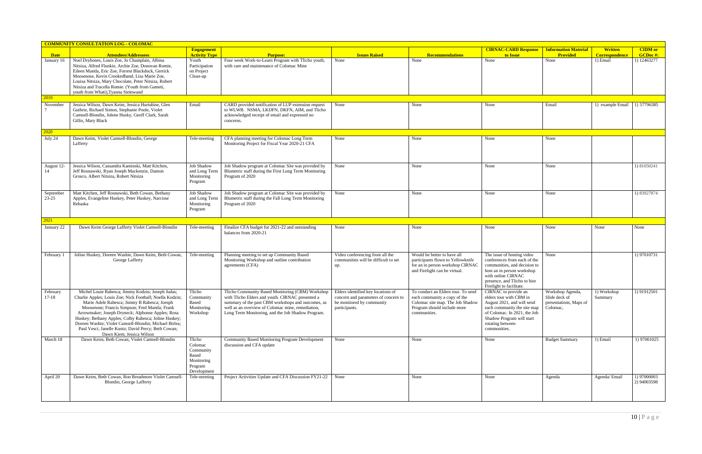|                        | <b>COMMUNITY CONSULTATION LOG - COLOMAC</b>                                                                                                                                                                                                                                                                                                                                                                                                                                 |                                                                                 |                                                                                                                                                                                                                                                                                                           |                                                                                    |                                                                                                                                                       |                                                                                                                                                                                                               |                                                                         |                                         |                            |
|------------------------|-----------------------------------------------------------------------------------------------------------------------------------------------------------------------------------------------------------------------------------------------------------------------------------------------------------------------------------------------------------------------------------------------------------------------------------------------------------------------------|---------------------------------------------------------------------------------|-----------------------------------------------------------------------------------------------------------------------------------------------------------------------------------------------------------------------------------------------------------------------------------------------------------|------------------------------------------------------------------------------------|-------------------------------------------------------------------------------------------------------------------------------------------------------|---------------------------------------------------------------------------------------------------------------------------------------------------------------------------------------------------------------|-------------------------------------------------------------------------|-----------------------------------------|----------------------------|
| <b>Date</b>            | <b>Attendees/Addressees</b>                                                                                                                                                                                                                                                                                                                                                                                                                                                 | <b>Engagement</b><br><b>Activity Type</b>                                       | <b>Purpose:</b>                                                                                                                                                                                                                                                                                           | <b>Issues Raised</b>                                                               | <b>Recommendations</b>                                                                                                                                | <b>CIRNAC-CARD Response</b><br>to Issue                                                                                                                                                                       | <b>Information Material</b><br>Provided                                 | <b>Written</b><br><b>Correspondence</b> | <b>CIDM</b> or<br>GCDoc#:  |
| January 16             | Noel Drybones, Louis Zoe, Jo Champlain, Albina<br>Nitsiza, Alfred Flunkie, Archie Zoe, Donovan Romie,<br>Eileen Mantla, Eric Zoe, Forrest Blackduck, Gerrick<br>Moosenose, Kevin Crookedhand, Lisa Marie Zoe,<br>Louisa Nitsiza, Mary Chocolate, Peter Nitsiza, Robert<br>Nitsiza and Tracella Romie. (Youth from Gameti,<br>youth from Whati), Tyanna Steinwand                                                                                                            | Youth<br>Participation<br>on Project<br>Clean-up                                | Four week Work-to-Learn Program with Tlicho youth,<br>with care and maintenance of Colomac Mine                                                                                                                                                                                                           | None                                                                               | None                                                                                                                                                  | None                                                                                                                                                                                                          | None                                                                    | 1) Email                                | 1) 12463277                |
| 2019                   |                                                                                                                                                                                                                                                                                                                                                                                                                                                                             |                                                                                 |                                                                                                                                                                                                                                                                                                           |                                                                                    |                                                                                                                                                       |                                                                                                                                                                                                               |                                                                         |                                         |                            |
| November               | Jessica Wilson, Dawn Keim, Jessica Hurtubise, Glen<br>Guthrie, Richard Simon, Stephanie Poole, Violet<br>Camsell-Blondin, Jolene Husky, Geoff Clark, Sarah<br>Gillis, Mary Black                                                                                                                                                                                                                                                                                            | Email                                                                           | CARD provided notification of LUP extension request<br>to WLWB. NSMA, LKDFN, DKFN, AIM, and Tlicho<br>acknowledged receipt of email and expressed no<br>concerns.                                                                                                                                         | None                                                                               | None                                                                                                                                                  | None                                                                                                                                                                                                          | Email                                                                   | 1) example Email                        | 1) 57796385                |
| 2020                   |                                                                                                                                                                                                                                                                                                                                                                                                                                                                             |                                                                                 |                                                                                                                                                                                                                                                                                                           |                                                                                    |                                                                                                                                                       |                                                                                                                                                                                                               |                                                                         |                                         |                            |
| July 24                | Dawn Keim, Violet Camsell-Blondin, George<br>Lafferty                                                                                                                                                                                                                                                                                                                                                                                                                       | Tele-meeting                                                                    | CFA planning meeting for Colomac Long Term<br>Monitoring Project for Fiscal Year 2020-21 CFA                                                                                                                                                                                                              | None                                                                               | None                                                                                                                                                  | None                                                                                                                                                                                                          | None                                                                    |                                         |                            |
| August 12-<br>14       | Jessica Wilson, Cassandra Kaminski, Matt Kitchen,<br>Jeff Rosnawski, Ryan Joseph Mackenzie, Damon<br>Grosco, Albert Nitsiza, Robert Nitsiza                                                                                                                                                                                                                                                                                                                                 | <b>Job Shadow</b><br>and Long Term<br>Monitoring<br>Program                     | Job Shadow program at Colomac Site was provided by<br>Blumetric staff during the First Long Term Monitoring<br>Program of 2020                                                                                                                                                                            | None                                                                               | None                                                                                                                                                  | None                                                                                                                                                                                                          | None                                                                    |                                         | 1) 81050241                |
| September<br>$23 - 25$ | Matt Kitchen, Jeff Rosnawski, Beth Cowan, Bethany<br>Apples, Evangeline Huskey, Peter Huskey, Narcisse<br>Rebaska                                                                                                                                                                                                                                                                                                                                                           | Job Shadow<br>and Long Term<br>Monitoring<br>Program                            | Job Shadow program at Colomac Site was provided by<br>Blumetric staff during the Fall Long Term Monitoring<br>Program of 2020                                                                                                                                                                             | None                                                                               | None                                                                                                                                                  | None                                                                                                                                                                                                          | None                                                                    |                                         | 1) 83927874                |
| 2021                   |                                                                                                                                                                                                                                                                                                                                                                                                                                                                             |                                                                                 |                                                                                                                                                                                                                                                                                                           |                                                                                    |                                                                                                                                                       |                                                                                                                                                                                                               |                                                                         |                                         |                            |
| January 22             | Dawn Keim George Lafferty Violet Camsell-Blondin                                                                                                                                                                                                                                                                                                                                                                                                                            | Tele-meeting                                                                    | Finalize CFA budget for 2021-22 and outstanding<br>balances from 2020-21                                                                                                                                                                                                                                  | None                                                                               | None                                                                                                                                                  | None                                                                                                                                                                                                          | None                                                                    | None                                    | None                       |
| February 1             | Joline Huskey, Doreen Washie, Dawn Keim, Beth Cowan,<br>George Lafferty                                                                                                                                                                                                                                                                                                                                                                                                     | Tele-meeting                                                                    | Planning meeting to set up Community Based<br>Monitoring Workshop and outline contribution<br>agreements (CFA)                                                                                                                                                                                            | Video conferencing from all the<br>communities will be difficult to set<br>up.     | Would be better to have all<br>participants flown to Yellowknife<br>for an in person workshop CIRNAC<br>and Firelight can be virtual                  | The issue of hosting video<br>conferences from each of the<br>communities, and decision to<br>host an in person workshop<br>with online CIRNAC<br>presence, and Tlicho to hire<br>Firelight to facilitate.    | None                                                                    |                                         | 1) 97010731                |
| February<br>$17 - 18$  | Michel Louie Rabesca; Jimmy Kodzin; Joseph Judas;<br>Charlie Apples; Louis Zoe; Nick Football; Noella Kodzin;<br>Marie Adele Rabesca; Jimmy B Rabesca; Joesph<br>Moosenose; Francis Simpson; Fred Mantla; Frank<br>Arrowmaker; Joseph Dryneck; Alphonse Apples; Rosa<br>Huskey; Bethany Apples; Colby Rabesca; Joline Huskey;<br>Doreen Washie; Violet Camsell-Blondin; Michael Birlea;<br>Paul Vesci; Janelle Kuntz; David Percy; Beth Cowan;<br>Dawn Kiem; Jessica Wilson | Tlicho<br>Community<br>Based<br>Monitoring<br>Workshop                          | Tlicho Community Based Monitoring (CBM) Workshop   Elders identified key locations of<br>with Tlicho Elders and youth. CIRNAC presented a<br>summary of the past CBM workshops and outcomes, as<br>well as an overview of Colomac mine, remediation,<br>Long Term Monitoring, and the Job Shadow Program. | concern and parameters of concern to<br>be monitored by community<br>participants. | To conduct an Elders tour. To send<br>each community a copy of the<br>Colomac site map. The Job Shadow<br>Program should include more<br>communities. | CIRNAC to provide an<br>elders tour with CBM in<br>August 2021, and will send<br>each community the site map<br>of Colomac. In 2021, the Job<br>Shadow Program will start<br>rotating between<br>communities. | Workshop Agenda,<br>Slide deck of<br>presentations, Maps of<br>Colomac, | 1) Workshop<br>Summary                  | 1) 91912501                |
| March 18               | Dawn Keim, Beth Cowan, Violet Camsell-Blondin                                                                                                                                                                                                                                                                                                                                                                                                                               | Tlicho<br>Colomac<br>Community<br>Based<br>Monitoring<br>Program<br>Development | Community Based Monitoring Program Development<br>discussion and CFA update                                                                                                                                                                                                                               | None                                                                               | None                                                                                                                                                  | None                                                                                                                                                                                                          | <b>Budget Summary</b>                                                   | 1) Email                                | 1) 97001025                |
| April 20               | Dawn Keim, Beth Cowan, Ron Breadmore Violet Camsell-<br>Blondin, George Lafferty                                                                                                                                                                                                                                                                                                                                                                                            | Tele-meeting                                                                    | Project Activities Update and CFA Discussion FY21-22   None                                                                                                                                                                                                                                               |                                                                                    | None                                                                                                                                                  | None                                                                                                                                                                                                          | Agenda                                                                  | Agenda/ Email                           | 1) 97000003<br>2) 94003598 |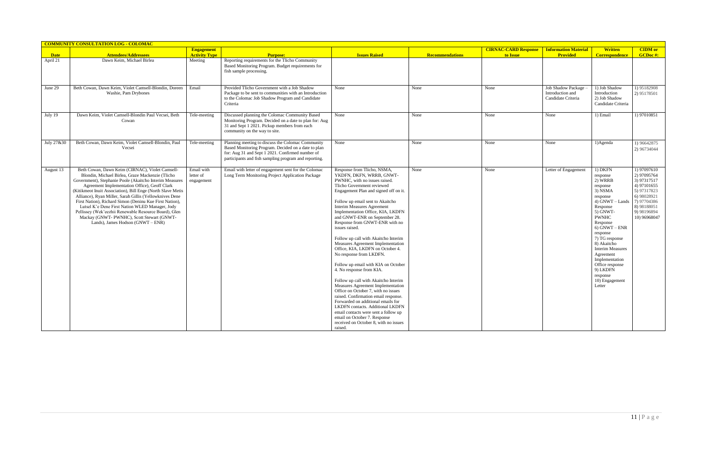|             | <b>COMMUNITY CONSULTATION LOG - COLOMAC</b>                                                                                                                                                                                                                                                                                                                                                                                                                                                                                                                                                         |                                           |                                                                                                                                                                                                                       |                                                                                                                                                                                                                                                                                                                                                                                                                                                                                                                                                                                                                                                                                                                                                                                                                                                                                                                                              |                        |                                                                |                                                                     |                                                                                                                                                                                                                                                                                                                                           |                                                                                                                                                     |
|-------------|-----------------------------------------------------------------------------------------------------------------------------------------------------------------------------------------------------------------------------------------------------------------------------------------------------------------------------------------------------------------------------------------------------------------------------------------------------------------------------------------------------------------------------------------------------------------------------------------------------|-------------------------------------------|-----------------------------------------------------------------------------------------------------------------------------------------------------------------------------------------------------------------------|----------------------------------------------------------------------------------------------------------------------------------------------------------------------------------------------------------------------------------------------------------------------------------------------------------------------------------------------------------------------------------------------------------------------------------------------------------------------------------------------------------------------------------------------------------------------------------------------------------------------------------------------------------------------------------------------------------------------------------------------------------------------------------------------------------------------------------------------------------------------------------------------------------------------------------------------|------------------------|----------------------------------------------------------------|---------------------------------------------------------------------|-------------------------------------------------------------------------------------------------------------------------------------------------------------------------------------------------------------------------------------------------------------------------------------------------------------------------------------------|-----------------------------------------------------------------------------------------------------------------------------------------------------|
| <b>Date</b> | <b>Attendees/Addressees</b>                                                                                                                                                                                                                                                                                                                                                                                                                                                                                                                                                                         | <b>Engagement</b><br><b>Activity Type</b> | <b>Purpose:</b>                                                                                                                                                                                                       | <b>Issues Raised</b>                                                                                                                                                                                                                                                                                                                                                                                                                                                                                                                                                                                                                                                                                                                                                                                                                                                                                                                         | <b>Recommendations</b> | <b>CIRNAC-CARD Response</b>   Information Material<br>to Issue | <b>Provided</b>                                                     | <b>Written</b><br><b>Correspondence</b>                                                                                                                                                                                                                                                                                                   | <b>CIDM</b> or<br><b>GCDoc#:</b>                                                                                                                    |
| April 21    | Dawn Keim, Michael Birlea                                                                                                                                                                                                                                                                                                                                                                                                                                                                                                                                                                           | Meeting                                   | Reporting requirements for the Tlicho Community<br>Based Monitoring Program. Budget requirements for<br>fish sample processing.                                                                                       |                                                                                                                                                                                                                                                                                                                                                                                                                                                                                                                                                                                                                                                                                                                                                                                                                                                                                                                                              |                        |                                                                |                                                                     |                                                                                                                                                                                                                                                                                                                                           |                                                                                                                                                     |
| June 29     | Beth Cowan, Dawn Keim, Violet Camsell-Blondin, Doreen<br>Washie, Pam Drybones                                                                                                                                                                                                                                                                                                                                                                                                                                                                                                                       | Email                                     | Provided Tlicho Government with a Job Shadow<br>Package to be sent to communities with an Introduction<br>to the Colomac Job Shadow Program and Candidate<br>Criteria                                                 | None                                                                                                                                                                                                                                                                                                                                                                                                                                                                                                                                                                                                                                                                                                                                                                                                                                                                                                                                         | None                   | None                                                           | <b>Job Shadow Package</b><br>Introduction and<br>Candidate Criteria | 1) Job Shadow<br>Introduction<br>2) Job Shadow<br>Candidate Criteria                                                                                                                                                                                                                                                                      | 1) 95182908<br>2) 95178501                                                                                                                          |
| July 19     | Dawn Keim, Violet Camsell-Blondin Paul Vecsei, Beth<br>Cowan                                                                                                                                                                                                                                                                                                                                                                                                                                                                                                                                        | Tele-meeting                              | Discussed planning the Colomac Community Based<br>Monitoring Program. Decided on a date to plan for: Aug<br>31 and Sept 1 2021. Pickup members from each<br>community on the way to site.                             | None                                                                                                                                                                                                                                                                                                                                                                                                                                                                                                                                                                                                                                                                                                                                                                                                                                                                                                                                         | None                   | None                                                           | None                                                                | 1) Email                                                                                                                                                                                                                                                                                                                                  | 1) 97010851                                                                                                                                         |
| July 27&30  | Beth Cowan, Dawn Keim, Violet Camsell-Blondin, Paul<br>Vecsei                                                                                                                                                                                                                                                                                                                                                                                                                                                                                                                                       | Tele-meeting                              | Planning meeting to discuss the Colomac Community<br>Based Monitoring Program. Decided on a date to plan<br>for: Aug 31 and Sept 1 2021. Confirmed number of<br>participants and fish sampling program and reporting. | None                                                                                                                                                                                                                                                                                                                                                                                                                                                                                                                                                                                                                                                                                                                                                                                                                                                                                                                                         | None                   | None                                                           | None                                                                | $1)$ Agenda                                                                                                                                                                                                                                                                                                                               | 1) 96642875<br>2) 96734044                                                                                                                          |
| August 13   | Beth Cowan, Dawn Keim (CIRNAC), Violet Camsell-<br>Blondin, Michael Birlea, Graze Mackenzie (Tlicho<br>Government), Stephanie Poole (Akaitcho Interim Measures<br>Agreement Implementation Office), Geoff Clark<br>(Kitikmeot Inuit Association), Bill Enge (North Slave Metis<br>Alliance), Ryan Miller, Sarah Gillis (Yellowknives Dene<br>First Nation), Richard Simon (Deninu Kue First Nation),<br>Lutsel K'e Dene First Nation WLED Manager, Jody<br>Pellissey (Wek'eezhii Renewable Resource Board), Glen<br>Mackay (GNWT- PWNHC), Scott Stewart (GNWT-<br>Lands), James Hodson (GNWT – ENR) | Email with<br>letter of<br>engagement     | Email with letter of engagement sent for the Colomac<br>Long Term Monitoring Project Application Package                                                                                                              | Response from Tlicho, NSMA,<br>YKDFN, DKFN, WRRB, GNWT-<br>PWNHC, with no issues raised.<br>Tlicho Government reviewed<br>Engagement Plan and signed off on it.<br>Follow up email sent to Akaitcho<br>Interim Measures Agreement<br>Implementation Office, KIA, LKDFN<br>and GNWT-ENR on September 28.<br>Response from GNWT-ENR with no<br>issues raised.<br>Follow up call with Akaitcho Interim<br>Measures Agreement Implementation<br>Office, KIA, LKDFN on October 4.<br>No response from LKDFN.<br>Follow up email with KIA on October<br>4. No response from KIA.<br>Follow up call with Akaitcho Interim<br>Measures Agreement Implementation<br>Office on October 7, with no issues<br>raised. Confirmation email response.<br>Forwarded on additional emails for<br>LKDFN contacts. Additional LKDFN<br>email contacts were sent a follow up<br>email on October 7. Response<br>received on October 8, with no issues<br>raised. | None                   | None                                                           | Letter of Engagement                                                | 1) DKFN<br>response<br>2) WRRB<br>response<br>3) NSMA<br>response<br>4) GNWT - Lands<br>Response<br>5) GNWT-<br><b>PWNHC</b><br>Response<br>$6)$ GNWT – ENR<br>response<br>7) TG response<br>8) Akaitcho<br><b>Interim Measures</b><br>Agreement<br>Implementation<br>Office response<br>9) LKDFN<br>response<br>10) Engagement<br>Letter | 1) 97097610<br>2) 97095764<br>3) 97317517<br>4) 97101655<br>5) 97317823<br>6) 98028921<br>7) 97704386<br>8) 98188051<br>9) 98196894<br>10) 96968047 |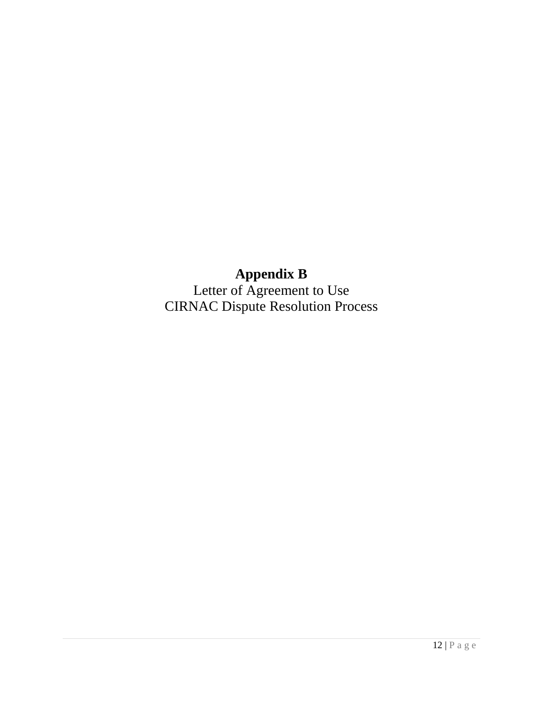# **Appendix B**

Letter of Agreement to Use CIRNAC Dispute Resolution Process